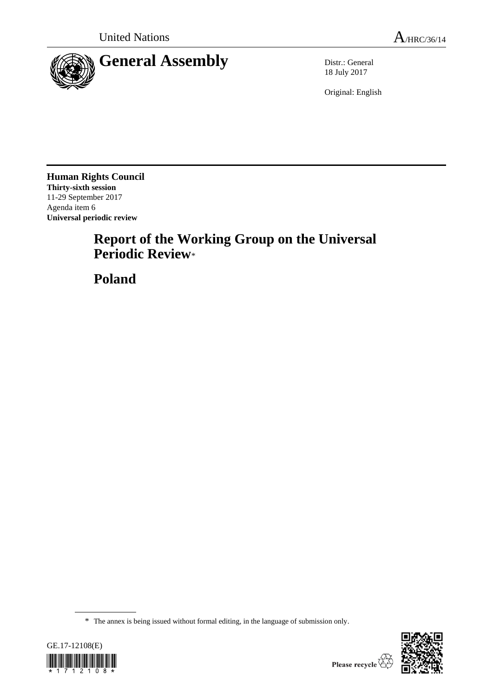

18 July 2017

Original: English

**Human Rights Council Thirty-sixth session** 11-29 September 2017 Agenda item 6 **Universal periodic review**

# **Report of the Working Group on the Universal Periodic Review**\*

**Poland**

<sup>\*</sup> The annex is being issued without formal editing, in the language of submission only.



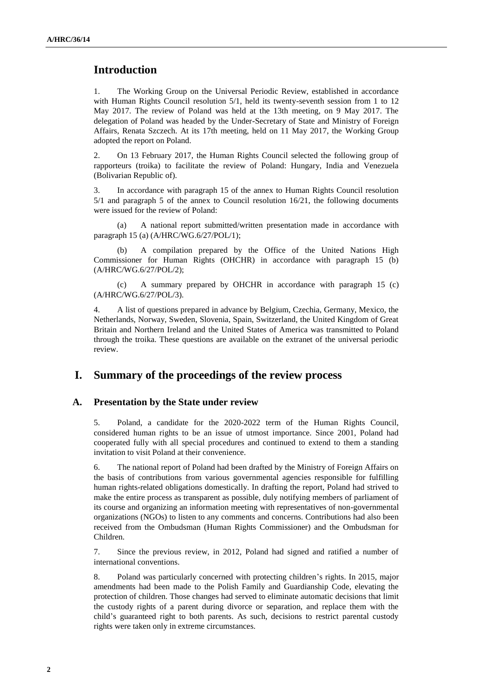## **Introduction**

1. The Working Group on the Universal Periodic Review, established in accordance with Human Rights Council resolution 5/1, held its twenty-seventh session from 1 to 12 May 2017. The review of Poland was held at the 13th meeting, on 9 May 2017. The delegation of Poland was headed by the Under-Secretary of State and Ministry of Foreign Affairs, Renata Szczech. At its 17th meeting, held on 11 May 2017, the Working Group adopted the report on Poland.

2. On 13 February 2017, the Human Rights Council selected the following group of rapporteurs (troika) to facilitate the review of Poland: Hungary, India and Venezuela (Bolivarian Republic of).

3. In accordance with paragraph 15 of the annex to Human Rights Council resolution 5/1 and paragraph 5 of the annex to Council resolution 16/21, the following documents were issued for the review of Poland:

(a) A national report submitted/written presentation made in accordance with paragraph 15 (a) (A/HRC/WG.6/27/POL/1);

(b) A compilation prepared by the Office of the United Nations High Commissioner for Human Rights (OHCHR) in accordance with paragraph 15 (b) (A/HRC/WG.6/27/POL/2);

(c) A summary prepared by OHCHR in accordance with paragraph 15 (c) (A/HRC/WG.6/27/POL/3).

4. A list of questions prepared in advance by Belgium, Czechia, Germany, Mexico, the Netherlands, Norway, Sweden, Slovenia, Spain, Switzerland, the United Kingdom of Great Britain and Northern Ireland and the United States of America was transmitted to Poland through the troika. These questions are available on the extranet of the universal periodic review.

## **I. Summary of the proceedings of the review process**

#### **A. Presentation by the State under review**

5. Poland, a candidate for the 2020-2022 term of the Human Rights Council, considered human rights to be an issue of utmost importance. Since 2001, Poland had cooperated fully with all special procedures and continued to extend to them a standing invitation to visit Poland at their convenience.

6. The national report of Poland had been drafted by the Ministry of Foreign Affairs on the basis of contributions from various governmental agencies responsible for fulfilling human rights-related obligations domestically. In drafting the report, Poland had strived to make the entire process as transparent as possible, duly notifying members of parliament of its course and organizing an information meeting with representatives of non-governmental organizations (NGOs) to listen to any comments and concerns. Contributions had also been received from the Ombudsman (Human Rights Commissioner) and the Ombudsman for Children.

7. Since the previous review, in 2012, Poland had signed and ratified a number of international conventions.

8. Poland was particularly concerned with protecting children's rights. In 2015, major amendments had been made to the Polish Family and Guardianship Code, elevating the protection of children. Those changes had served to eliminate automatic decisions that limit the custody rights of a parent during divorce or separation, and replace them with the child's guaranteed right to both parents. As such, decisions to restrict parental custody rights were taken only in extreme circumstances.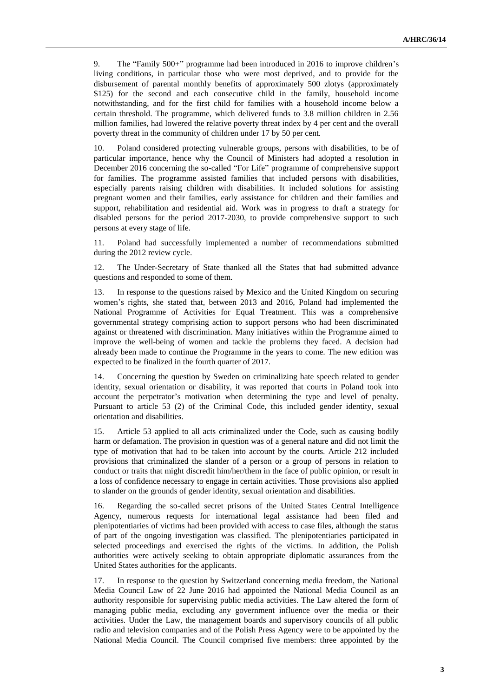9. The "Family 500+" programme had been introduced in 2016 to improve children's living conditions, in particular those who were most deprived, and to provide for the disbursement of parental monthly benefits of approximately 500 zlotys (approximately \$125) for the second and each consecutive child in the family, household income notwithstanding, and for the first child for families with a household income below a certain threshold. The programme, which delivered funds to 3.8 million children in 2.56 million families, had lowered the relative poverty threat index by 4 per cent and the overall poverty threat in the community of children under 17 by 50 per cent.

Poland considered protecting vulnerable groups, persons with disabilities, to be of particular importance, hence why the Council of Ministers had adopted a resolution in December 2016 concerning the so-called "For Life" programme of comprehensive support for families. The programme assisted families that included persons with disabilities, especially parents raising children with disabilities. It included solutions for assisting pregnant women and their families, early assistance for children and their families and support, rehabilitation and residential aid. Work was in progress to draft a strategy for disabled persons for the period 2017-2030, to provide comprehensive support to such persons at every stage of life.

11. Poland had successfully implemented a number of recommendations submitted during the 2012 review cycle.

12. The Under-Secretary of State thanked all the States that had submitted advance questions and responded to some of them.

13. In response to the questions raised by Mexico and the United Kingdom on securing women's rights, she stated that, between 2013 and 2016, Poland had implemented the National Programme of Activities for Equal Treatment. This was a comprehensive governmental strategy comprising action to support persons who had been discriminated against or threatened with discrimination. Many initiatives within the Programme aimed to improve the well-being of women and tackle the problems they faced. A decision had already been made to continue the Programme in the years to come. The new edition was expected to be finalized in the fourth quarter of 2017.

14. Concerning the question by Sweden on criminalizing hate speech related to gender identity, sexual orientation or disability, it was reported that courts in Poland took into account the perpetrator's motivation when determining the type and level of penalty. Pursuant to article 53 (2) of the Criminal Code, this included gender identity, sexual orientation and disabilities.

15. Article 53 applied to all acts criminalized under the Code, such as causing bodily harm or defamation. The provision in question was of a general nature and did not limit the type of motivation that had to be taken into account by the courts. Article 212 included provisions that criminalized the slander of a person or a group of persons in relation to conduct or traits that might discredit him/her/them in the face of public opinion, or result in a loss of confidence necessary to engage in certain activities. Those provisions also applied to slander on the grounds of gender identity, sexual orientation and disabilities.

16. Regarding the so-called secret prisons of the United States Central Intelligence Agency, numerous requests for international legal assistance had been filed and plenipotentiaries of victims had been provided with access to case files, although the status of part of the ongoing investigation was classified. The plenipotentiaries participated in selected proceedings and exercised the rights of the victims. In addition, the Polish authorities were actively seeking to obtain appropriate diplomatic assurances from the United States authorities for the applicants.

17. In response to the question by Switzerland concerning media freedom, the National Media Council Law of 22 June 2016 had appointed the National Media Council as an authority responsible for supervising public media activities. The Law altered the form of managing public media, excluding any government influence over the media or their activities. Under the Law, the management boards and supervisory councils of all public radio and television companies and of the Polish Press Agency were to be appointed by the National Media Council. The Council comprised five members: three appointed by the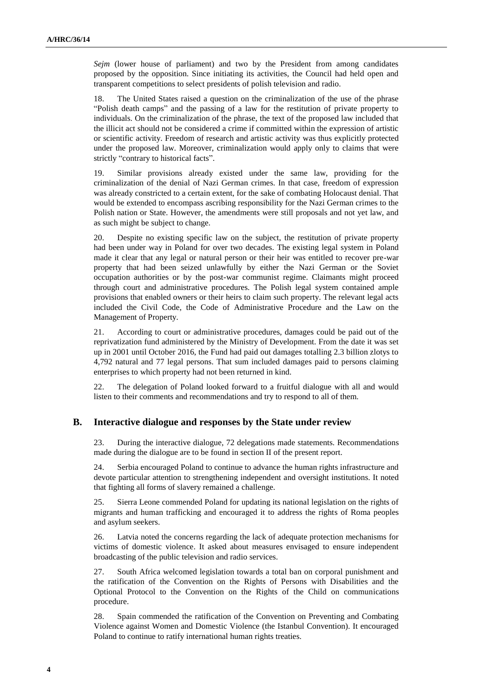*Sejm* (lower house of parliament) and two by the President from among candidates proposed by the opposition. Since initiating its activities, the Council had held open and transparent competitions to select presidents of polish television and radio.

18. The United States raised a question on the criminalization of the use of the phrase "Polish death camps" and the passing of a law for the restitution of private property to individuals. On the criminalization of the phrase, the text of the proposed law included that the illicit act should not be considered a crime if committed within the expression of artistic or scientific activity. Freedom of research and artistic activity was thus explicitly protected under the proposed law. Moreover, criminalization would apply only to claims that were strictly "contrary to historical facts".

19. Similar provisions already existed under the same law, providing for the criminalization of the denial of Nazi German crimes. In that case, freedom of expression was already constricted to a certain extent, for the sake of combating Holocaust denial. That would be extended to encompass ascribing responsibility for the Nazi German crimes to the Polish nation or State. However, the amendments were still proposals and not yet law, and as such might be subject to change.

20. Despite no existing specific law on the subject, the restitution of private property had been under way in Poland for over two decades. The existing legal system in Poland made it clear that any legal or natural person or their heir was entitled to recover pre-war property that had been seized unlawfully by either the Nazi German or the Soviet occupation authorities or by the post-war communist regime. Claimants might proceed through court and administrative procedures. The Polish legal system contained ample provisions that enabled owners or their heirs to claim such property. The relevant legal acts included the Civil Code, the Code of Administrative Procedure and the Law on the Management of Property.

21. According to court or administrative procedures, damages could be paid out of the reprivatization fund administered by the Ministry of Development. From the date it was set up in 2001 until October 2016, the Fund had paid out damages totalling 2.3 billion zlotys to 4,792 natural and 77 legal persons. That sum included damages paid to persons claiming enterprises to which property had not been returned in kind.

22. The delegation of Poland looked forward to a fruitful dialogue with all and would listen to their comments and recommendations and try to respond to all of them.

#### **B. Interactive dialogue and responses by the State under review**

23. During the interactive dialogue, 72 delegations made statements. Recommendations made during the dialogue are to be found in section II of the present report.

24. Serbia encouraged Poland to continue to advance the human rights infrastructure and devote particular attention to strengthening independent and oversight institutions. It noted that fighting all forms of slavery remained a challenge.

25. Sierra Leone commended Poland for updating its national legislation on the rights of migrants and human trafficking and encouraged it to address the rights of Roma peoples and asylum seekers.

26. Latvia noted the concerns regarding the lack of adequate protection mechanisms for victims of domestic violence. It asked about measures envisaged to ensure independent broadcasting of the public television and radio services.

27. South Africa welcomed legislation towards a total ban on corporal punishment and the ratification of the Convention on the Rights of Persons with Disabilities and the Optional Protocol to the Convention on the Rights of the Child on communications procedure.

28. Spain commended the ratification of the Convention on Preventing and Combating Violence against Women and Domestic Violence (the Istanbul Convention). It encouraged Poland to continue to ratify international human rights treaties.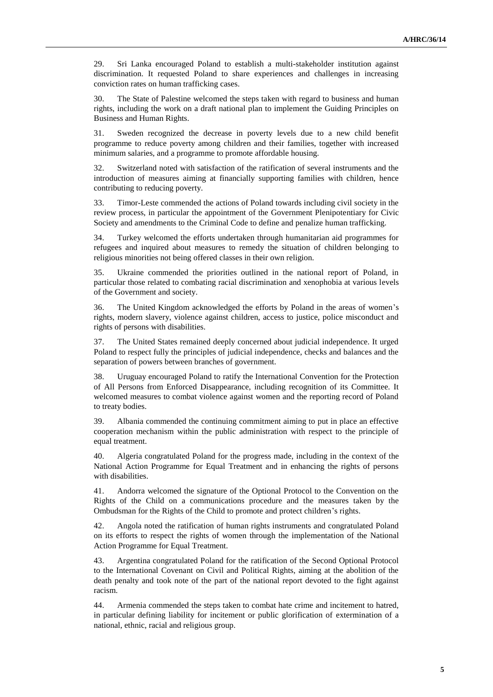29. Sri Lanka encouraged Poland to establish a multi-stakeholder institution against discrimination. It requested Poland to share experiences and challenges in increasing conviction rates on human trafficking cases.

30. The State of Palestine welcomed the steps taken with regard to business and human rights, including the work on a draft national plan to implement the Guiding Principles on Business and Human Rights.

31. Sweden recognized the decrease in poverty levels due to a new child benefit programme to reduce poverty among children and their families, together with increased minimum salaries, and a programme to promote affordable housing.

32. Switzerland noted with satisfaction of the ratification of several instruments and the introduction of measures aiming at financially supporting families with children, hence contributing to reducing poverty.

33. Timor-Leste commended the actions of Poland towards including civil society in the review process, in particular the appointment of the Government Plenipotentiary for Civic Society and amendments to the Criminal Code to define and penalize human trafficking.

34. Turkey welcomed the efforts undertaken through humanitarian aid programmes for refugees and inquired about measures to remedy the situation of children belonging to religious minorities not being offered classes in their own religion.

35. Ukraine commended the priorities outlined in the national report of Poland, in particular those related to combating racial discrimination and xenophobia at various levels of the Government and society.

36. The United Kingdom acknowledged the efforts by Poland in the areas of women's rights, modern slavery, violence against children, access to justice, police misconduct and rights of persons with disabilities.

37. The United States remained deeply concerned about judicial independence. It urged Poland to respect fully the principles of judicial independence, checks and balances and the separation of powers between branches of government.

38. Uruguay encouraged Poland to ratify the International Convention for the Protection of All Persons from Enforced Disappearance, including recognition of its Committee. It welcomed measures to combat violence against women and the reporting record of Poland to treaty bodies.

39. Albania commended the continuing commitment aiming to put in place an effective cooperation mechanism within the public administration with respect to the principle of equal treatment.

40. Algeria congratulated Poland for the progress made, including in the context of the National Action Programme for Equal Treatment and in enhancing the rights of persons with disabilities.

41. Andorra welcomed the signature of the Optional Protocol to the Convention on the Rights of the Child on a communications procedure and the measures taken by the Ombudsman for the Rights of the Child to promote and protect children's rights.

42. Angola noted the ratification of human rights instruments and congratulated Poland on its efforts to respect the rights of women through the implementation of the National Action Programme for Equal Treatment.

43. Argentina congratulated Poland for the ratification of the Second Optional Protocol to the International Covenant on Civil and Political Rights, aiming at the abolition of the death penalty and took note of the part of the national report devoted to the fight against racism.

44. Armenia commended the steps taken to combat hate crime and incitement to hatred, in particular defining liability for incitement or public glorification of extermination of a national, ethnic, racial and religious group.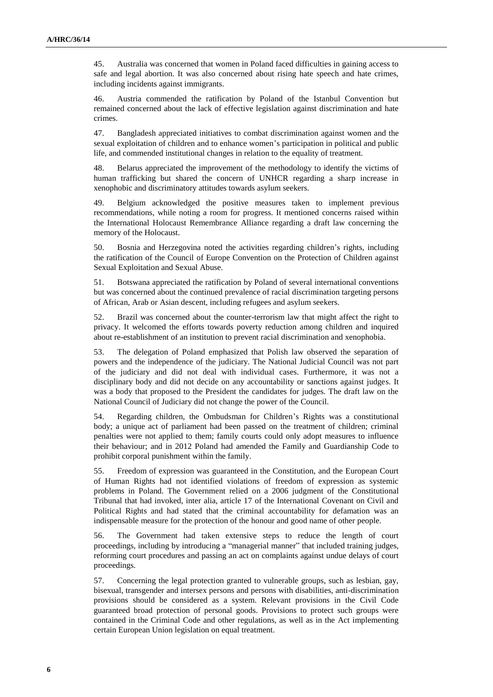45. Australia was concerned that women in Poland faced difficulties in gaining access to safe and legal abortion. It was also concerned about rising hate speech and hate crimes, including incidents against immigrants.

46. Austria commended the ratification by Poland of the Istanbul Convention but remained concerned about the lack of effective legislation against discrimination and hate crimes.

47. Bangladesh appreciated initiatives to combat discrimination against women and the sexual exploitation of children and to enhance women's participation in political and public life, and commended institutional changes in relation to the equality of treatment.

48. Belarus appreciated the improvement of the methodology to identify the victims of human trafficking but shared the concern of UNHCR regarding a sharp increase in xenophobic and discriminatory attitudes towards asylum seekers.

49. Belgium acknowledged the positive measures taken to implement previous recommendations, while noting a room for progress. It mentioned concerns raised within the International Holocaust Remembrance Alliance regarding a draft law concerning the memory of the Holocaust.

50. Bosnia and Herzegovina noted the activities regarding children's rights, including the ratification of the Council of Europe Convention on the Protection of Children against Sexual Exploitation and Sexual Abuse.

51. Botswana appreciated the ratification by Poland of several international conventions but was concerned about the continued prevalence of racial discrimination targeting persons of African, Arab or Asian descent, including refugees and asylum seekers.

52. Brazil was concerned about the counter-terrorism law that might affect the right to privacy. It welcomed the efforts towards poverty reduction among children and inquired about re-establishment of an institution to prevent racial discrimination and xenophobia.

53. The delegation of Poland emphasized that Polish law observed the separation of powers and the independence of the judiciary. The National Judicial Council was not part of the judiciary and did not deal with individual cases. Furthermore, it was not a disciplinary body and did not decide on any accountability or sanctions against judges. It was a body that proposed to the President the candidates for judges. The draft law on the National Council of Judiciary did not change the power of the Council.

54. Regarding children, the Ombudsman for Children's Rights was a constitutional body; a unique act of parliament had been passed on the treatment of children; criminal penalties were not applied to them; family courts could only adopt measures to influence their behaviour; and in 2012 Poland had amended the Family and Guardianship Code to prohibit corporal punishment within the family.

55. Freedom of expression was guaranteed in the Constitution, and the European Court of Human Rights had not identified violations of freedom of expression as systemic problems in Poland. The Government relied on a 2006 judgment of the Constitutional Tribunal that had invoked, inter alia, article 17 of the International Covenant on Civil and Political Rights and had stated that the criminal accountability for defamation was an indispensable measure for the protection of the honour and good name of other people.

56. The Government had taken extensive steps to reduce the length of court proceedings, including by introducing a "managerial manner" that included training judges, reforming court procedures and passing an act on complaints against undue delays of court proceedings.

57. Concerning the legal protection granted to vulnerable groups, such as lesbian, gay, bisexual, transgender and intersex persons and persons with disabilities, anti-discrimination provisions should be considered as a system. Relevant provisions in the Civil Code guaranteed broad protection of personal goods. Provisions to protect such groups were contained in the Criminal Code and other regulations, as well as in the Act implementing certain European Union legislation on equal treatment.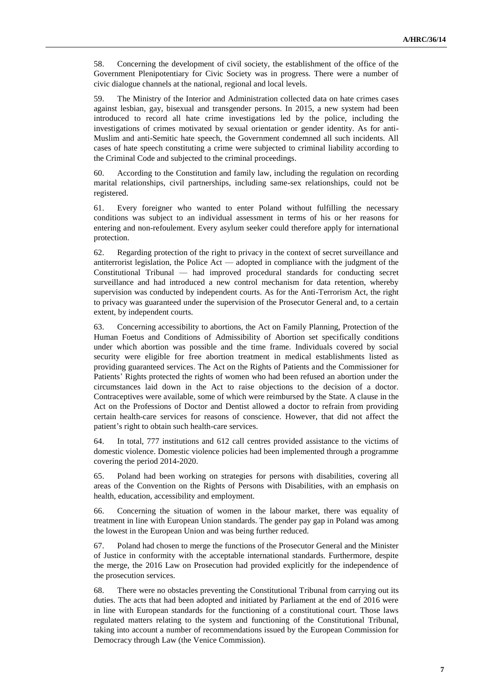58. Concerning the development of civil society, the establishment of the office of the Government Plenipotentiary for Civic Society was in progress. There were a number of civic dialogue channels at the national, regional and local levels.

59. The Ministry of the Interior and Administration collected data on hate crimes cases against lesbian, gay, bisexual and transgender persons. In 2015, a new system had been introduced to record all hate crime investigations led by the police, including the investigations of crimes motivated by sexual orientation or gender identity. As for anti-Muslim and anti-Semitic hate speech, the Government condemned all such incidents. All cases of hate speech constituting a crime were subjected to criminal liability according to the Criminal Code and subjected to the criminal proceedings.

60. According to the Constitution and family law, including the regulation on recording marital relationships, civil partnerships, including same-sex relationships, could not be registered.

61. Every foreigner who wanted to enter Poland without fulfilling the necessary conditions was subject to an individual assessment in terms of his or her reasons for entering and non-refoulement. Every asylum seeker could therefore apply for international protection.

62. Regarding protection of the right to privacy in the context of secret surveillance and antiterrorist legislation, the Police Act — adopted in compliance with the judgment of the Constitutional Tribunal — had improved procedural standards for conducting secret surveillance and had introduced a new control mechanism for data retention, whereby supervision was conducted by independent courts. As for the Anti-Terrorism Act, the right to privacy was guaranteed under the supervision of the Prosecutor General and, to a certain extent, by independent courts.

63. Concerning accessibility to abortions, the Act on Family Planning, Protection of the Human Foetus and Conditions of Admissibility of Abortion set specifically conditions under which abortion was possible and the time frame. Individuals covered by social security were eligible for free abortion treatment in medical establishments listed as providing guaranteed services. The Act on the Rights of Patients and the Commissioner for Patients' Rights protected the rights of women who had been refused an abortion under the circumstances laid down in the Act to raise objections to the decision of a doctor. Contraceptives were available, some of which were reimbursed by the State. A clause in the Act on the Professions of Doctor and Dentist allowed a doctor to refrain from providing certain health-care services for reasons of conscience. However, that did not affect the patient's right to obtain such health-care services.

64. In total, 777 institutions and 612 call centres provided assistance to the victims of domestic violence. Domestic violence policies had been implemented through a programme covering the period 2014-2020.

65. Poland had been working on strategies for persons with disabilities, covering all areas of the Convention on the Rights of Persons with Disabilities, with an emphasis on health, education, accessibility and employment.

66. Concerning the situation of women in the labour market, there was equality of treatment in line with European Union standards. The gender pay gap in Poland was among the lowest in the European Union and was being further reduced.

67. Poland had chosen to merge the functions of the Prosecutor General and the Minister of Justice in conformity with the acceptable international standards. Furthermore, despite the merge, the 2016 Law on Prosecution had provided explicitly for the independence of the prosecution services.

68. There were no obstacles preventing the Constitutional Tribunal from carrying out its duties. The acts that had been adopted and initiated by Parliament at the end of 2016 were in line with European standards for the functioning of a constitutional court. Those laws regulated matters relating to the system and functioning of the Constitutional Tribunal, taking into account a number of recommendations issued by the European Commission for Democracy through Law (the Venice Commission).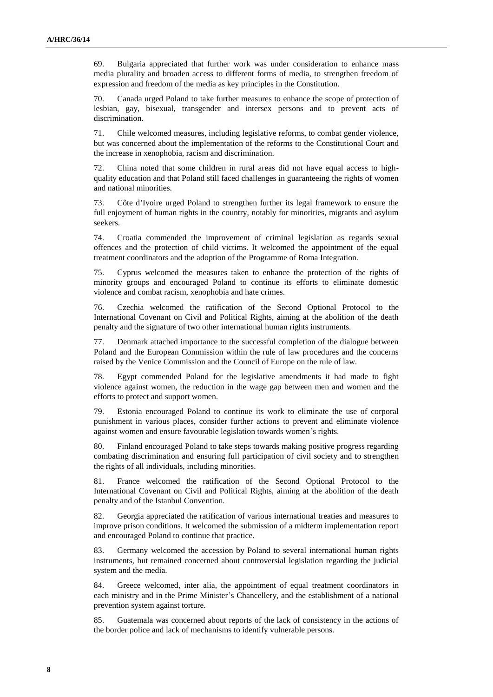69. Bulgaria appreciated that further work was under consideration to enhance mass media plurality and broaden access to different forms of media, to strengthen freedom of expression and freedom of the media as key principles in the Constitution.

70. Canada urged Poland to take further measures to enhance the scope of protection of lesbian, gay, bisexual, transgender and intersex persons and to prevent acts of discrimination.

71. Chile welcomed measures, including legislative reforms, to combat gender violence, but was concerned about the implementation of the reforms to the Constitutional Court and the increase in xenophobia, racism and discrimination.

72. China noted that some children in rural areas did not have equal access to highquality education and that Poland still faced challenges in guaranteeing the rights of women and national minorities.

73. Côte d'Ivoire urged Poland to strengthen further its legal framework to ensure the full enjoyment of human rights in the country, notably for minorities, migrants and asylum seekers.

74. Croatia commended the improvement of criminal legislation as regards sexual offences and the protection of child victims. It welcomed the appointment of the equal treatment coordinators and the adoption of the Programme of Roma Integration.

75. Cyprus welcomed the measures taken to enhance the protection of the rights of minority groups and encouraged Poland to continue its efforts to eliminate domestic violence and combat racism, xenophobia and hate crimes.

76. Czechia welcomed the ratification of the Second Optional Protocol to the International Covenant on Civil and Political Rights, aiming at the abolition of the death penalty and the signature of two other international human rights instruments.

77. Denmark attached importance to the successful completion of the dialogue between Poland and the European Commission within the rule of law procedures and the concerns raised by the Venice Commission and the Council of Europe on the rule of law.

78. Egypt commended Poland for the legislative amendments it had made to fight violence against women, the reduction in the wage gap between men and women and the efforts to protect and support women.

79. Estonia encouraged Poland to continue its work to eliminate the use of corporal punishment in various places, consider further actions to prevent and eliminate violence against women and ensure favourable legislation towards women's rights.

80. Finland encouraged Poland to take steps towards making positive progress regarding combating discrimination and ensuring full participation of civil society and to strengthen the rights of all individuals, including minorities.

81. France welcomed the ratification of the Second Optional Protocol to the International Covenant on Civil and Political Rights, aiming at the abolition of the death penalty and of the Istanbul Convention.

82. Georgia appreciated the ratification of various international treaties and measures to improve prison conditions. It welcomed the submission of a midterm implementation report and encouraged Poland to continue that practice.

83. Germany welcomed the accession by Poland to several international human rights instruments, but remained concerned about controversial legislation regarding the judicial system and the media.

84. Greece welcomed, inter alia, the appointment of equal treatment coordinators in each ministry and in the Prime Minister's Chancellery, and the establishment of a national prevention system against torture.

85. Guatemala was concerned about reports of the lack of consistency in the actions of the border police and lack of mechanisms to identify vulnerable persons.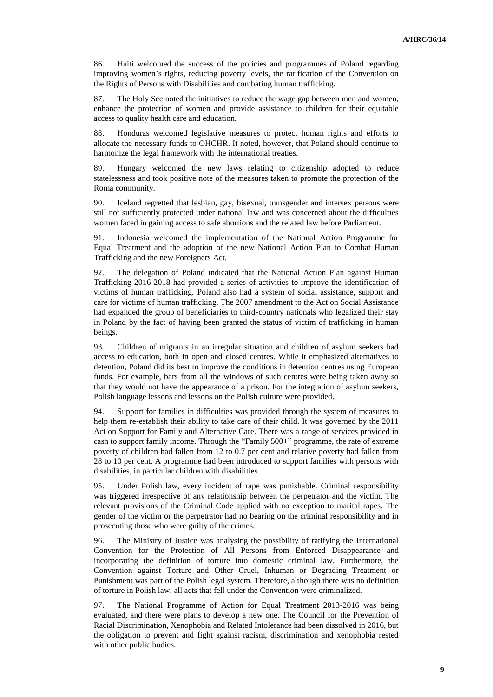86. Haiti welcomed the success of the policies and programmes of Poland regarding improving women's rights, reducing poverty levels, the ratification of the Convention on the Rights of Persons with Disabilities and combating human trafficking.

87. The Holy See noted the initiatives to reduce the wage gap between men and women, enhance the protection of women and provide assistance to children for their equitable access to quality health care and education.

88. Honduras welcomed legislative measures to protect human rights and efforts to allocate the necessary funds to OHCHR. It noted, however, that Poland should continue to harmonize the legal framework with the international treaties.

89. Hungary welcomed the new laws relating to citizenship adopted to reduce statelessness and took positive note of the measures taken to promote the protection of the Roma community.

90. Iceland regretted that lesbian, gay, bisexual, transgender and intersex persons were still not sufficiently protected under national law and was concerned about the difficulties women faced in gaining access to safe abortions and the related law before Parliament.

91. Indonesia welcomed the implementation of the National Action Programme for Equal Treatment and the adoption of the new National Action Plan to Combat Human Trafficking and the new Foreigners Act.

92. The delegation of Poland indicated that the National Action Plan against Human Trafficking 2016-2018 had provided a series of activities to improve the identification of victims of human trafficking. Poland also had a system of social assistance, support and care for victims of human trafficking. The 2007 amendment to the Act on Social Assistance had expanded the group of beneficiaries to third-country nationals who legalized their stay in Poland by the fact of having been granted the status of victim of trafficking in human beings.

93. Children of migrants in an irregular situation and children of asylum seekers had access to education, both in open and closed centres. While it emphasized alternatives to detention, Poland did its best to improve the conditions in detention centres using European funds. For example, bars from all the windows of such centres were being taken away so that they would not have the appearance of a prison. For the integration of asylum seekers, Polish language lessons and lessons on the Polish culture were provided.

94. Support for families in difficulties was provided through the system of measures to help them re-establish their ability to take care of their child. It was governed by the 2011 Act on Support for Family and Alternative Care. There was a range of services provided in cash to support family income. Through the "Family 500+" programme, the rate of extreme poverty of children had fallen from 12 to 0.7 per cent and relative poverty had fallen from 28 to 10 per cent. A programme had been introduced to support families with persons with disabilities, in particular children with disabilities.

95. Under Polish law, every incident of rape was punishable. Criminal responsibility was triggered irrespective of any relationship between the perpetrator and the victim. The relevant provisions of the Criminal Code applied with no exception to marital rapes. The gender of the victim or the perpetrator had no bearing on the criminal responsibility and in prosecuting those who were guilty of the crimes.

96. The Ministry of Justice was analysing the possibility of ratifying the International Convention for the Protection of All Persons from Enforced Disappearance and incorporating the definition of torture into domestic criminal law. Furthermore, the Convention against Torture and Other Cruel, Inhuman or Degrading Treatment or Punishment was part of the Polish legal system. Therefore, although there was no definition of torture in Polish law, all acts that fell under the Convention were criminalized.

97. The National Programme of Action for Equal Treatment 2013-2016 was being evaluated, and there were plans to develop a new one. The Council for the Prevention of Racial Discrimination, Xenophobia and Related Intolerance had been dissolved in 2016, but the obligation to prevent and fight against racism, discrimination and xenophobia rested with other public bodies.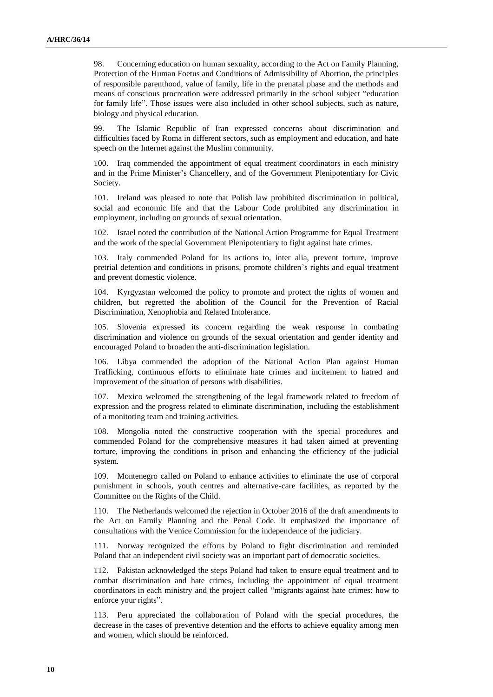98. Concerning education on human sexuality, according to the Act on Family Planning, Protection of the Human Foetus and Conditions of Admissibility of Abortion, the principles of responsible parenthood, value of family, life in the prenatal phase and the methods and means of conscious procreation were addressed primarily in the school subject "education for family life". Those issues were also included in other school subjects, such as nature, biology and physical education.

99. The Islamic Republic of Iran expressed concerns about discrimination and difficulties faced by Roma in different sectors, such as employment and education, and hate speech on the Internet against the Muslim community.

100. Iraq commended the appointment of equal treatment coordinators in each ministry and in the Prime Minister's Chancellery, and of the Government Plenipotentiary for Civic Society.

101. Ireland was pleased to note that Polish law prohibited discrimination in political, social and economic life and that the Labour Code prohibited any discrimination in employment, including on grounds of sexual orientation.

102. Israel noted the contribution of the National Action Programme for Equal Treatment and the work of the special Government Plenipotentiary to fight against hate crimes.

103. Italy commended Poland for its actions to, inter alia, prevent torture, improve pretrial detention and conditions in prisons, promote children's rights and equal treatment and prevent domestic violence.

104. Kyrgyzstan welcomed the policy to promote and protect the rights of women and children, but regretted the abolition of the Council for the Prevention of Racial Discrimination, Xenophobia and Related Intolerance.

105. Slovenia expressed its concern regarding the weak response in combating discrimination and violence on grounds of the sexual orientation and gender identity and encouraged Poland to broaden the anti-discrimination legislation.

106. Libya commended the adoption of the National Action Plan against Human Trafficking, continuous efforts to eliminate hate crimes and incitement to hatred and improvement of the situation of persons with disabilities.

107. Mexico welcomed the strengthening of the legal framework related to freedom of expression and the progress related to eliminate discrimination, including the establishment of a monitoring team and training activities.

108. Mongolia noted the constructive cooperation with the special procedures and commended Poland for the comprehensive measures it had taken aimed at preventing torture, improving the conditions in prison and enhancing the efficiency of the judicial system.

109. Montenegro called on Poland to enhance activities to eliminate the use of corporal punishment in schools, youth centres and alternative-care facilities, as reported by the Committee on the Rights of the Child.

110. The Netherlands welcomed the rejection in October 2016 of the draft amendments to the Act on Family Planning and the Penal Code. It emphasized the importance of consultations with the Venice Commission for the independence of the judiciary.

111. Norway recognized the efforts by Poland to fight discrimination and reminded Poland that an independent civil society was an important part of democratic societies.

112. Pakistan acknowledged the steps Poland had taken to ensure equal treatment and to combat discrimination and hate crimes, including the appointment of equal treatment coordinators in each ministry and the project called "migrants against hate crimes: how to enforce your rights".

113. Peru appreciated the collaboration of Poland with the special procedures, the decrease in the cases of preventive detention and the efforts to achieve equality among men and women, which should be reinforced.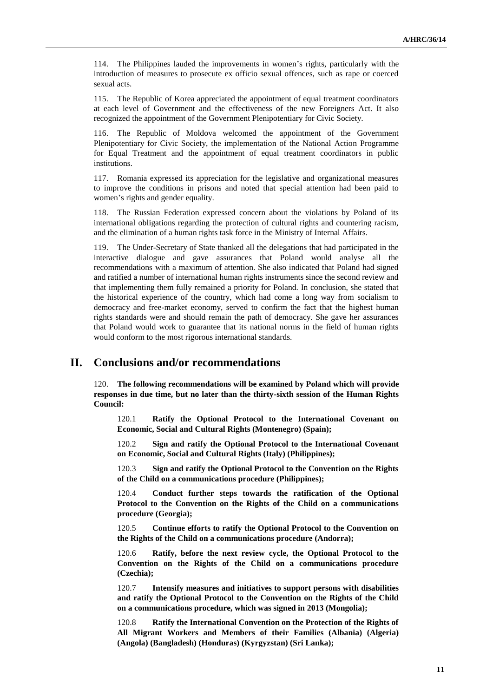114. The Philippines lauded the improvements in women's rights, particularly with the introduction of measures to prosecute ex officio sexual offences, such as rape or coerced sexual acts.

115. The Republic of Korea appreciated the appointment of equal treatment coordinators at each level of Government and the effectiveness of the new Foreigners Act. It also recognized the appointment of the Government Plenipotentiary for Civic Society.

116. The Republic of Moldova welcomed the appointment of the Government Plenipotentiary for Civic Society, the implementation of the National Action Programme for Equal Treatment and the appointment of equal treatment coordinators in public institutions.

117. Romania expressed its appreciation for the legislative and organizational measures to improve the conditions in prisons and noted that special attention had been paid to women's rights and gender equality.

118. The Russian Federation expressed concern about the violations by Poland of its international obligations regarding the protection of cultural rights and countering racism, and the elimination of a human rights task force in the Ministry of Internal Affairs.

119. The Under-Secretary of State thanked all the delegations that had participated in the interactive dialogue and gave assurances that Poland would analyse all the recommendations with a maximum of attention. She also indicated that Poland had signed and ratified a number of international human rights instruments since the second review and that implementing them fully remained a priority for Poland. In conclusion, she stated that the historical experience of the country, which had come a long way from socialism to democracy and free-market economy, served to confirm the fact that the highest human rights standards were and should remain the path of democracy. She gave her assurances that Poland would work to guarantee that its national norms in the field of human rights would conform to the most rigorous international standards.

### **II. Conclusions and/or recommendations**

120. **The following recommendations will be examined by Poland which will provide responses in due time, but no later than the thirty-sixth session of the Human Rights Council:**

120.1 **Ratify the Optional Protocol to the International Covenant on Economic, Social and Cultural Rights (Montenegro) (Spain);**

120.2 **Sign and ratify the Optional Protocol to the International Covenant on Economic, Social and Cultural Rights (Italy) (Philippines);**

120.3 **Sign and ratify the Optional Protocol to the Convention on the Rights of the Child on a communications procedure (Philippines);**

120.4 **Conduct further steps towards the ratification of the Optional Protocol to the Convention on the Rights of the Child on a communications procedure (Georgia);**

120.5 **Continue efforts to ratify the Optional Protocol to the Convention on the Rights of the Child on a communications procedure (Andorra);**

120.6 **Ratify, before the next review cycle, the Optional Protocol to the Convention on the Rights of the Child on a communications procedure (Czechia);**

120.7 **Intensify measures and initiatives to support persons with disabilities and ratify the Optional Protocol to the Convention on the Rights of the Child on a communications procedure, which was signed in 2013 (Mongolia);**

120.8 **Ratify the International Convention on the Protection of the Rights of All Migrant Workers and Members of their Families (Albania) (Algeria) (Angola) (Bangladesh) (Honduras) (Kyrgyzstan) (Sri Lanka);**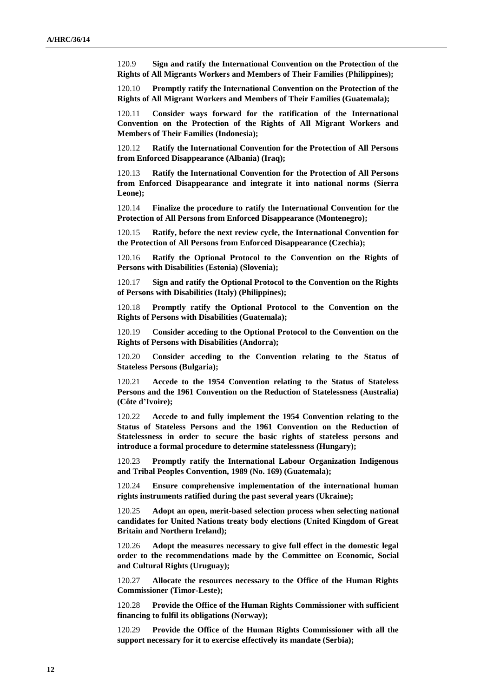120.9 **Sign and ratify the International Convention on the Protection of the Rights of All Migrants Workers and Members of Their Families (Philippines);**

120.10 **Promptly ratify the International Convention on the Protection of the Rights of All Migrant Workers and Members of Their Families (Guatemala);**

120.11 **Consider ways forward for the ratification of the International Convention on the Protection of the Rights of All Migrant Workers and Members of Their Families (Indonesia);**

120.12 **Ratify the International Convention for the Protection of All Persons from Enforced Disappearance (Albania) (Iraq);**

120.13 **Ratify the International Convention for the Protection of All Persons from Enforced Disappearance and integrate it into national norms (Sierra Leone);**

120.14 **Finalize the procedure to ratify the International Convention for the Protection of All Persons from Enforced Disappearance (Montenegro);**

120.15 **Ratify, before the next review cycle, the International Convention for the Protection of All Persons from Enforced Disappearance (Czechia);**

120.16 **Ratify the Optional Protocol to the Convention on the Rights of Persons with Disabilities (Estonia) (Slovenia);**

120.17 **Sign and ratify the Optional Protocol to the Convention on the Rights of Persons with Disabilities (Italy) (Philippines);**

120.18 **Promptly ratify the Optional Protocol to the Convention on the Rights of Persons with Disabilities (Guatemala);**

120.19 **Consider acceding to the Optional Protocol to the Convention on the Rights of Persons with Disabilities (Andorra);**

120.20 **Consider acceding to the Convention relating to the Status of Stateless Persons (Bulgaria);**

120.21 **Accede to the 1954 Convention relating to the Status of Stateless Persons and the 1961 Convention on the Reduction of Statelessness (Australia) (Côte d'Ivoire);**

120.22 **Accede to and fully implement the 1954 Convention relating to the Status of Stateless Persons and the 1961 Convention on the Reduction of Statelessness in order to secure the basic rights of stateless persons and introduce a formal procedure to determine statelessness (Hungary);**

120.23 **Promptly ratify the International Labour Organization Indigenous and Tribal Peoples Convention, 1989 (No. 169) (Guatemala);**

120.24 **Ensure comprehensive implementation of the international human rights instruments ratified during the past several years (Ukraine);**

120.25 **Adopt an open, merit-based selection process when selecting national candidates for United Nations treaty body elections (United Kingdom of Great Britain and Northern Ireland);**

120.26 **Adopt the measures necessary to give full effect in the domestic legal order to the recommendations made by the Committee on Economic, Social and Cultural Rights (Uruguay);**

120.27 **Allocate the resources necessary to the Office of the Human Rights Commissioner (Timor-Leste);**

120.28 **Provide the Office of the Human Rights Commissioner with sufficient financing to fulfil its obligations (Norway);**

120.29 **Provide the Office of the Human Rights Commissioner with all the support necessary for it to exercise effectively its mandate (Serbia);**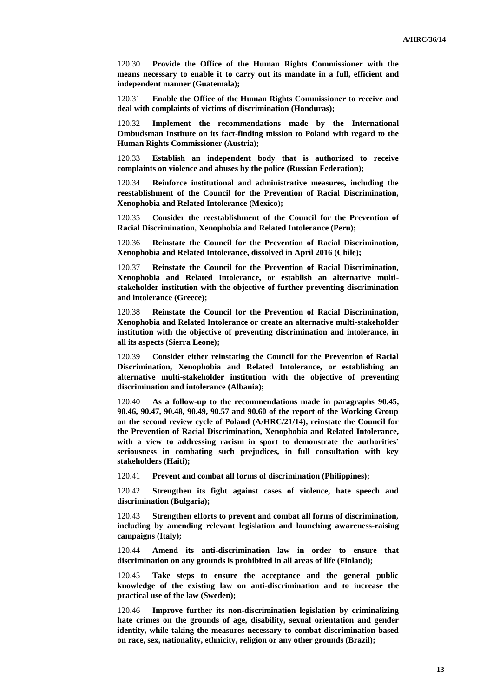120.30 **Provide the Office of the Human Rights Commissioner with the means necessary to enable it to carry out its mandate in a full, efficient and independent manner (Guatemala);**

120.31 **Enable the Office of the Human Rights Commissioner to receive and deal with complaints of victims of discrimination (Honduras);**

120.32 **Implement the recommendations made by the International Ombudsman Institute on its fact-finding mission to Poland with regard to the Human Rights Commissioner (Austria);**

120.33 **Establish an independent body that is authorized to receive complaints on violence and abuses by the police (Russian Federation);**

120.34 **Reinforce institutional and administrative measures, including the reestablishment of the Council for the Prevention of Racial Discrimination, Xenophobia and Related Intolerance (Mexico);**

120.35 **Consider the reestablishment of the Council for the Prevention of Racial Discrimination, Xenophobia and Related Intolerance (Peru);**

120.36 **Reinstate the Council for the Prevention of Racial Discrimination, Xenophobia and Related Intolerance, dissolved in April 2016 (Chile);**

120.37 **Reinstate the Council for the Prevention of Racial Discrimination, Xenophobia and Related Intolerance, or establish an alternative multistakeholder institution with the objective of further preventing discrimination and intolerance (Greece);**

120.38 **Reinstate the Council for the Prevention of Racial Discrimination, Xenophobia and Related Intolerance or create an alternative multi-stakeholder institution with the objective of preventing discrimination and intolerance, in all its aspects (Sierra Leone);**

120.39 **Consider either reinstating the Council for the Prevention of Racial Discrimination, Xenophobia and Related Intolerance, or establishing an alternative multi-stakeholder institution with the objective of preventing discrimination and intolerance (Albania);**

120.40 **As a follow-up to the recommendations made in paragraphs 90.45, 90.46, 90.47, 90.48, 90.49, 90.57 and 90.60 of the report of the Working Group on the second review cycle of Poland (A/HRC/21/14), reinstate the Council for the Prevention of Racial Discrimination, Xenophobia and Related Intolerance, with a view to addressing racism in sport to demonstrate the authorities' seriousness in combating such prejudices, in full consultation with key stakeholders (Haiti);**

120.41 **Prevent and combat all forms of discrimination (Philippines);**

120.42 **Strengthen its fight against cases of violence, hate speech and discrimination (Bulgaria);**

120.43 **Strengthen efforts to prevent and combat all forms of discrimination, including by amending relevant legislation and launching awareness-raising campaigns (Italy);**

120.44 **Amend its anti-discrimination law in order to ensure that discrimination on any grounds is prohibited in all areas of life (Finland);**

120.45 **Take steps to ensure the acceptance and the general public knowledge of the existing law on anti-discrimination and to increase the practical use of the law (Sweden);**

120.46 **Improve further its non-discrimination legislation by criminalizing hate crimes on the grounds of age, disability, sexual orientation and gender identity, while taking the measures necessary to combat discrimination based on race, sex, nationality, ethnicity, religion or any other grounds (Brazil);**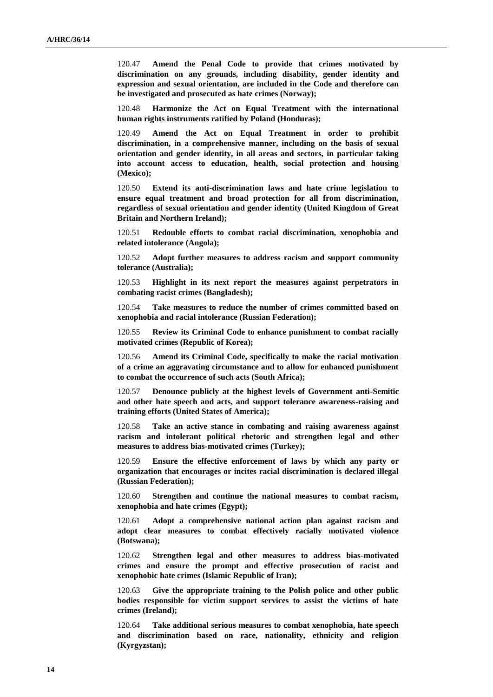120.47 **Amend the Penal Code to provide that crimes motivated by discrimination on any grounds, including disability, gender identity and expression and sexual orientation, are included in the Code and therefore can be investigated and prosecuted as hate crimes (Norway);**

120.48 **Harmonize the Act on Equal Treatment with the international human rights instruments ratified by Poland (Honduras);**

120.49 **Amend the Act on Equal Treatment in order to prohibit discrimination, in a comprehensive manner, including on the basis of sexual orientation and gender identity, in all areas and sectors, in particular taking into account access to education, health, social protection and housing (Mexico);**

120.50 **Extend its anti-discrimination laws and hate crime legislation to ensure equal treatment and broad protection for all from discrimination, regardless of sexual orientation and gender identity (United Kingdom of Great Britain and Northern Ireland);**

120.51 **Redouble efforts to combat racial discrimination, xenophobia and related intolerance (Angola);**

120.52 **Adopt further measures to address racism and support community tolerance (Australia);**

120.53 **Highlight in its next report the measures against perpetrators in combating racist crimes (Bangladesh);**

120.54 **Take measures to reduce the number of crimes committed based on xenophobia and racial intolerance (Russian Federation);**

120.55 **Review its Criminal Code to enhance punishment to combat racially motivated crimes (Republic of Korea);**

120.56 **Amend its Criminal Code, specifically to make the racial motivation of a crime an aggravating circumstance and to allow for enhanced punishment to combat the occurrence of such acts (South Africa);**

120.57 **Denounce publicly at the highest levels of Government anti-Semitic and other hate speech and acts, and support tolerance awareness-raising and training efforts (United States of America);**

120.58 **Take an active stance in combating and raising awareness against racism and intolerant political rhetoric and strengthen legal and other measures to address bias-motivated crimes (Turkey);**

120.59 **Ensure the effective enforcement of laws by which any party or organization that encourages or incites racial discrimination is declared illegal (Russian Federation);**

120.60 **Strengthen and continue the national measures to combat racism, xenophobia and hate crimes (Egypt);**

120.61 **Adopt a comprehensive national action plan against racism and adopt clear measures to combat effectively racially motivated violence (Botswana);**

120.62 **Strengthen legal and other measures to address bias-motivated crimes and ensure the prompt and effective prosecution of racist and xenophobic hate crimes (Islamic Republic of Iran);**

120.63 **Give the appropriate training to the Polish police and other public bodies responsible for victim support services to assist the victims of hate crimes (Ireland);**

120.64 **Take additional serious measures to combat xenophobia, hate speech and discrimination based on race, nationality, ethnicity and religion (Kyrgyzstan);**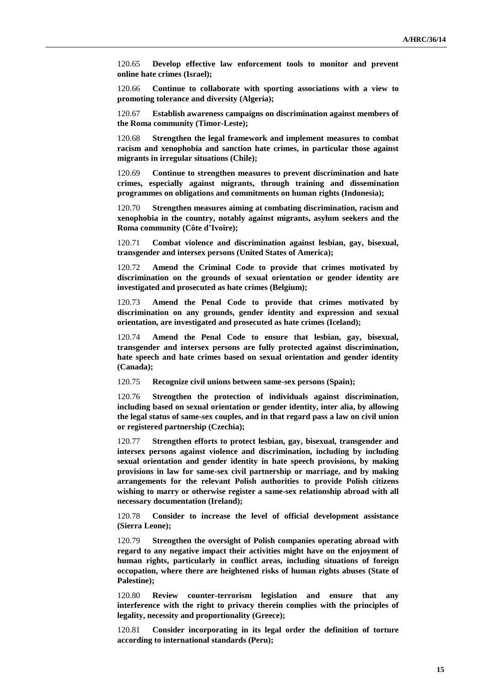120.65 **Develop effective law enforcement tools to monitor and prevent online hate crimes (Israel);**

120.66 **Continue to collaborate with sporting associations with a view to promoting tolerance and diversity (Algeria);**

120.67 **Establish awareness campaigns on discrimination against members of the Roma community (Timor-Leste);**

120.68 **Strengthen the legal framework and implement measures to combat racism and xenophobia and sanction hate crimes, in particular those against migrants in irregular situations (Chile);**

120.69 **Continue to strengthen measures to prevent discrimination and hate crimes, especially against migrants, through training and dissemination programmes on obligations and commitments on human rights (Indonesia);**

120.70 **Strengthen measures aiming at combating discrimination, racism and xenophobia in the country, notably against migrants, asylum seekers and the Roma community (Côte d'Ivoire);**

120.71 **Combat violence and discrimination against lesbian, gay, bisexual, transgender and intersex persons (United States of America);**

120.72 **Amend the Criminal Code to provide that crimes motivated by discrimination on the grounds of sexual orientation or gender identity are investigated and prosecuted as hate crimes (Belgium);**

120.73 **Amend the Penal Code to provide that crimes motivated by discrimination on any grounds, gender identity and expression and sexual orientation, are investigated and prosecuted as hate crimes (Iceland);**

120.74 **Amend the Penal Code to ensure that lesbian, gay, bisexual, transgender and intersex persons are fully protected against discrimination, hate speech and hate crimes based on sexual orientation and gender identity (Canada);**

120.75 **Recognize civil unions between same-sex persons (Spain);**

120.76 **Strengthen the protection of individuals against discrimination, including based on sexual orientation or gender identity, inter alia, by allowing the legal status of same-sex couples, and in that regard pass a law on civil union or registered partnership (Czechia);**

120.77 **Strengthen efforts to protect lesbian, gay, bisexual, transgender and intersex persons against violence and discrimination, including by including sexual orientation and gender identity in hate speech provisions, by making provisions in law for same-sex civil partnership or marriage, and by making arrangements for the relevant Polish authorities to provide Polish citizens wishing to marry or otherwise register a same-sex relationship abroad with all necessary documentation (Ireland);**

120.78 **Consider to increase the level of official development assistance (Sierra Leone);**

120.79 **Strengthen the oversight of Polish companies operating abroad with regard to any negative impact their activities might have on the enjoyment of human rights, particularly in conflict areas, including situations of foreign occupation, where there are heightened risks of human rights abuses (State of Palestine);**

120.80 **Review counter-terrorism legislation and ensure that any interference with the right to privacy therein complies with the principles of legality, necessity and proportionality (Greece);**

120.81 **Consider incorporating in its legal order the definition of torture according to international standards (Peru);**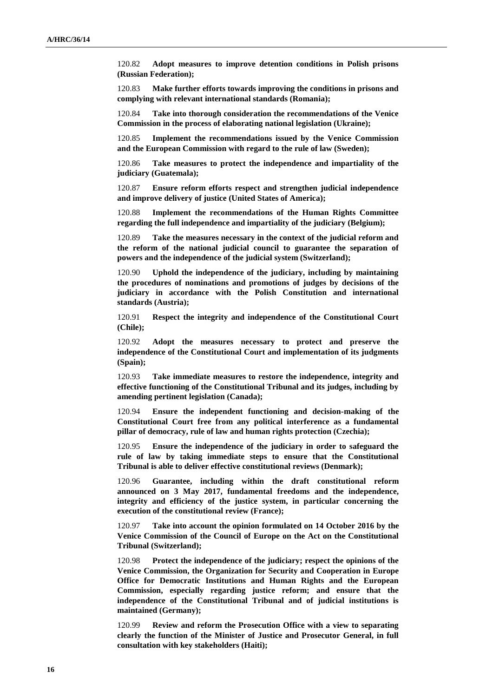120.82 **Adopt measures to improve detention conditions in Polish prisons (Russian Federation);**

120.83 **Make further efforts towards improving the conditions in prisons and complying with relevant international standards (Romania);**

120.84 **Take into thorough consideration the recommendations of the Venice Commission in the process of elaborating national legislation (Ukraine);**

120.85 **Implement the recommendations issued by the Venice Commission and the European Commission with regard to the rule of law (Sweden);**

120.86 **Take measures to protect the independence and impartiality of the judiciary (Guatemala);**

120.87 **Ensure reform efforts respect and strengthen judicial independence and improve delivery of justice (United States of America);**

120.88 **Implement the recommendations of the Human Rights Committee regarding the full independence and impartiality of the judiciary (Belgium);**

120.89 **Take the measures necessary in the context of the judicial reform and the reform of the national judicial council to guarantee the separation of powers and the independence of the judicial system (Switzerland);**

120.90 **Uphold the independence of the judiciary, including by maintaining the procedures of nominations and promotions of judges by decisions of the judiciary in accordance with the Polish Constitution and international standards (Austria);**

120.91 **Respect the integrity and independence of the Constitutional Court (Chile);**

120.92 **Adopt the measures necessary to protect and preserve the independence of the Constitutional Court and implementation of its judgments (Spain);**

120.93 **Take immediate measures to restore the independence, integrity and effective functioning of the Constitutional Tribunal and its judges, including by amending pertinent legislation (Canada);**

120.94 **Ensure the independent functioning and decision-making of the Constitutional Court free from any political interference as a fundamental pillar of democracy, rule of law and human rights protection (Czechia);**

120.95 **Ensure the independence of the judiciary in order to safeguard the rule of law by taking immediate steps to ensure that the Constitutional Tribunal is able to deliver effective constitutional reviews (Denmark);**

120.96 **Guarantee, including within the draft constitutional reform announced on 3 May 2017, fundamental freedoms and the independence, integrity and efficiency of the justice system, in particular concerning the execution of the constitutional review (France);**

120.97 **Take into account the opinion formulated on 14 October 2016 by the Venice Commission of the Council of Europe on the Act on the Constitutional Tribunal (Switzerland);**

120.98 **Protect the independence of the judiciary; respect the opinions of the Venice Commission, the Organization for Security and Cooperation in Europe Office for Democratic Institutions and Human Rights and the European Commission, especially regarding justice reform; and ensure that the independence of the Constitutional Tribunal and of judicial institutions is maintained (Germany);**

120.99 **Review and reform the Prosecution Office with a view to separating clearly the function of the Minister of Justice and Prosecutor General, in full consultation with key stakeholders (Haiti);**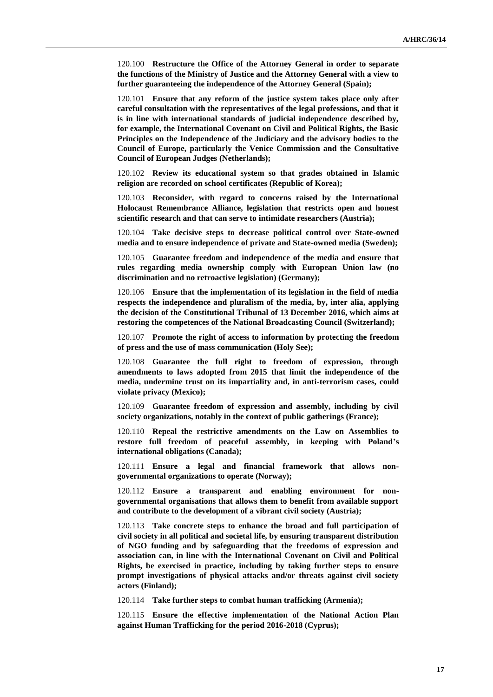120.100 **Restructure the Office of the Attorney General in order to separate the functions of the Ministry of Justice and the Attorney General with a view to further guaranteeing the independence of the Attorney General (Spain);**

120.101 **Ensure that any reform of the justice system takes place only after careful consultation with the representatives of the legal professions, and that it is in line with international standards of judicial independence described by, for example, the International Covenant on Civil and Political Rights, the Basic Principles on the Independence of the Judiciary and the advisory bodies to the Council of Europe, particularly the Venice Commission and the Consultative Council of European Judges (Netherlands);**

120.102 **Review its educational system so that grades obtained in Islamic religion are recorded on school certificates (Republic of Korea);**

120.103 **Reconsider, with regard to concerns raised by the International Holocaust Remembrance Alliance, legislation that restricts open and honest scientific research and that can serve to intimidate researchers (Austria);**

120.104 **Take decisive steps to decrease political control over State-owned media and to ensure independence of private and State-owned media (Sweden);**

120.105 **Guarantee freedom and independence of the media and ensure that rules regarding media ownership comply with European Union law (no discrimination and no retroactive legislation) (Germany);**

120.106 **Ensure that the implementation of its legislation in the field of media respects the independence and pluralism of the media, by, inter alia, applying the decision of the Constitutional Tribunal of 13 December 2016, which aims at restoring the competences of the National Broadcasting Council (Switzerland);**

120.107 **Promote the right of access to information by protecting the freedom of press and the use of mass communication (Holy See);**

120.108 **Guarantee the full right to freedom of expression, through amendments to laws adopted from 2015 that limit the independence of the media, undermine trust on its impartiality and, in anti-terrorism cases, could violate privacy (Mexico);**

120.109 **Guarantee freedom of expression and assembly, including by civil society organizations, notably in the context of public gatherings (France);**

120.110 **Repeal the restrictive amendments on the Law on Assemblies to restore full freedom of peaceful assembly, in keeping with Poland's international obligations (Canada);**

120.111 **Ensure a legal and financial framework that allows nongovernmental organizations to operate (Norway);**

120.112 **Ensure a transparent and enabling environment for nongovernmental organisations that allows them to benefit from available support and contribute to the development of a vibrant civil society (Austria);**

120.113 **Take concrete steps to enhance the broad and full participation of civil society in all political and societal life, by ensuring transparent distribution of NGO funding and by safeguarding that the freedoms of expression and association can, in line with the International Covenant on Civil and Political Rights, be exercised in practice, including by taking further steps to ensure prompt investigations of physical attacks and/or threats against civil society actors (Finland);**

120.114 **Take further steps to combat human trafficking (Armenia);**

120.115 **Ensure the effective implementation of the National Action Plan against Human Trafficking for the period 2016-2018 (Cyprus);**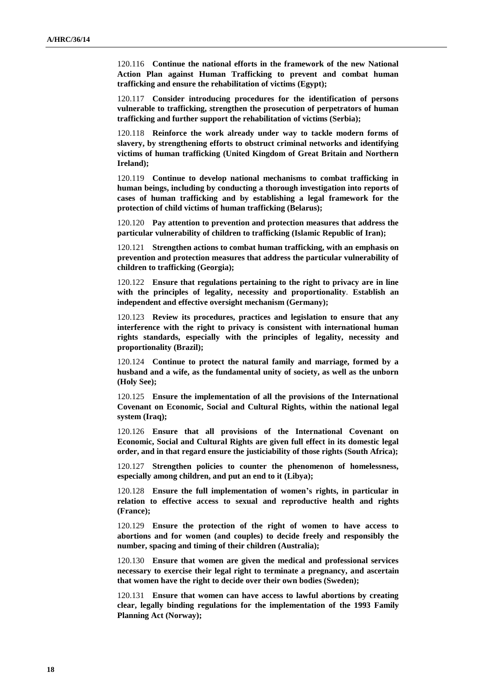120.116 **Continue the national efforts in the framework of the new National Action Plan against Human Trafficking to prevent and combat human trafficking and ensure the rehabilitation of victims (Egypt);**

120.117 **Consider introducing procedures for the identification of persons vulnerable to trafficking, strengthen the prosecution of perpetrators of human trafficking and further support the rehabilitation of victims (Serbia);**

120.118 **Reinforce the work already under way to tackle modern forms of slavery, by strengthening efforts to obstruct criminal networks and identifying victims of human trafficking (United Kingdom of Great Britain and Northern Ireland);**

120.119 **Continue to develop national mechanisms to combat trafficking in human beings, including by conducting a thorough investigation into reports of cases of human trafficking and by establishing a legal framework for the protection of child victims of human trafficking (Belarus);**

120.120 **Pay attention to prevention and protection measures that address the particular vulnerability of children to trafficking (Islamic Republic of Iran);**

120.121 **Strengthen actions to combat human trafficking, with an emphasis on prevention and protection measures that address the particular vulnerability of children to trafficking (Georgia);**

120.122 **Ensure that regulations pertaining to the right to privacy are in line with the principles of legality, necessity and proportionality**. **Establish an independent and effective oversight mechanism (Germany);**

120.123 **Review its procedures, practices and legislation to ensure that any interference with the right to privacy is consistent with international human rights standards, especially with the principles of legality, necessity and proportionality (Brazil);**

120.124 **Continue to protect the natural family and marriage, formed by a husband and a wife, as the fundamental unity of society, as well as the unborn (Holy See);**

120.125 **Ensure the implementation of all the provisions of the International Covenant on Economic, Social and Cultural Rights, within the national legal system (Iraq);**

120.126 **Ensure that all provisions of the International Covenant on Economic, Social and Cultural Rights are given full effect in its domestic legal order, and in that regard ensure the justiciability of those rights (South Africa);**

120.127 **Strengthen policies to counter the phenomenon of homelessness, especially among children, and put an end to it (Libya);**

120.128 **Ensure the full implementation of women's rights, in particular in relation to effective access to sexual and reproductive health and rights (France);**

120.129 **Ensure the protection of the right of women to have access to abortions and for women (and couples) to decide freely and responsibly the number, spacing and timing of their children (Australia);**

120.130 **Ensure that women are given the medical and professional services necessary to exercise their legal right to terminate a pregnancy, and ascertain that women have the right to decide over their own bodies (Sweden);**

120.131 **Ensure that women can have access to lawful abortions by creating clear, legally binding regulations for the implementation of the 1993 Family Planning Act (Norway);**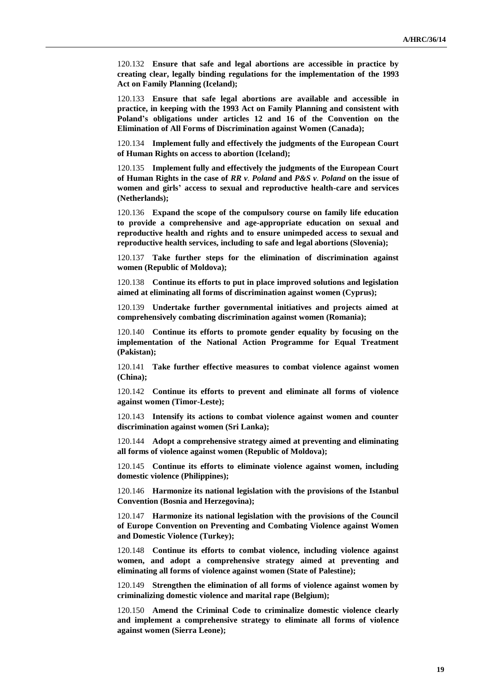120.132 **Ensure that safe and legal abortions are accessible in practice by creating clear, legally binding regulations for the implementation of the 1993 Act on Family Planning (Iceland);**

120.133 **Ensure that safe legal abortions are available and accessible in practice, in keeping with the 1993 Act on Family Planning and consistent with Poland's obligations under articles 12 and 16 of the Convention on the Elimination of All Forms of Discrimination against Women (Canada);**

120.134 **Implement fully and effectively the judgments of the European Court of Human Rights on access to abortion (Iceland);**

120.135 **Implement fully and effectively the judgments of the European Court of Human Rights in the case of** *RR v. Poland* **and** *P&S v. Poland* **on the issue of women and girls' access to sexual and reproductive health-care and services (Netherlands);**

120.136 **Expand the scope of the compulsory course on family life education to provide a comprehensive and age-appropriate education on sexual and reproductive health and rights and to ensure unimpeded access to sexual and reproductive health services, including to safe and legal abortions (Slovenia);**

120.137 **Take further steps for the elimination of discrimination against women (Republic of Moldova);**

120.138 **Continue its efforts to put in place improved solutions and legislation aimed at eliminating all forms of discrimination against women (Cyprus);**

120.139 **Undertake further governmental initiatives and projects aimed at comprehensively combating discrimination against women (Romania);**

120.140 **Continue its efforts to promote gender equality by focusing on the implementation of the National Action Programme for Equal Treatment (Pakistan);**

120.141 **Take further effective measures to combat violence against women (China);**

120.142 **Continue its efforts to prevent and eliminate all forms of violence against women (Timor-Leste);**

120.143 **Intensify its actions to combat violence against women and counter discrimination against women (Sri Lanka);**

120.144 **Adopt a comprehensive strategy aimed at preventing and eliminating all forms of violence against women (Republic of Moldova);**

120.145 **Continue its efforts to eliminate violence against women, including domestic violence (Philippines);**

120.146 **Harmonize its national legislation with the provisions of the Istanbul Convention (Bosnia and Herzegovina);**

120.147 **Harmonize its national legislation with the provisions of the Council of Europe Convention on Preventing and Combating Violence against Women and Domestic Violence (Turkey);**

120.148 **Continue its efforts to combat violence, including violence against women, and adopt a comprehensive strategy aimed at preventing and eliminating all forms of violence against women (State of Palestine);**

120.149 **Strengthen the elimination of all forms of violence against women by criminalizing domestic violence and marital rape (Belgium);**

120.150 **Amend the Criminal Code to criminalize domestic violence clearly and implement a comprehensive strategy to eliminate all forms of violence against women (Sierra Leone);**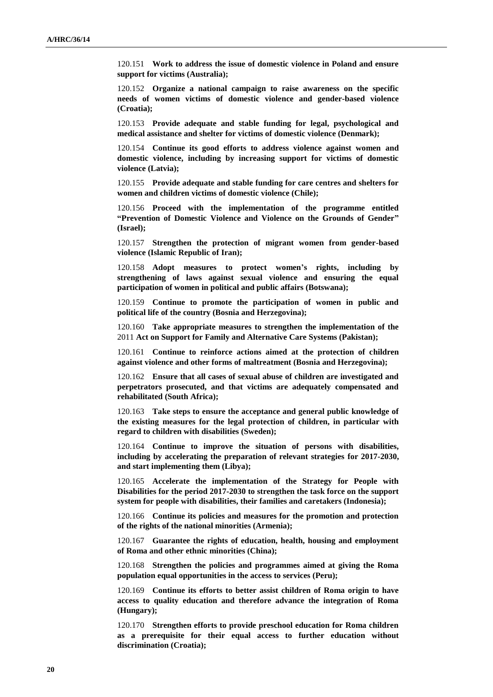120.151 **Work to address the issue of domestic violence in Poland and ensure support for victims (Australia);**

120.152 **Organize a national campaign to raise awareness on the specific needs of women victims of domestic violence and gender-based violence (Croatia);**

120.153 **Provide adequate and stable funding for legal, psychological and medical assistance and shelter for victims of domestic violence (Denmark);**

120.154 **Continue its good efforts to address violence against women and domestic violence, including by increasing support for victims of domestic violence (Latvia);**

120.155 **Provide adequate and stable funding for care centres and shelters for women and children victims of domestic violence (Chile);**

120.156 **Proceed with the implementation of the programme entitled "Prevention of Domestic Violence and Violence on the Grounds of Gender" (Israel);**

120.157 **Strengthen the protection of migrant women from gender-based violence (Islamic Republic of Iran);**

120.158 **Adopt measures to protect women's rights, including by strengthening of laws against sexual violence and ensuring the equal participation of women in political and public affairs (Botswana);**

120.159 **Continue to promote the participation of women in public and political life of the country (Bosnia and Herzegovina);**

120.160 **Take appropriate measures to strengthen the implementation of the**  2011 **Act on Support for Family and Alternative Care Systems (Pakistan);**

120.161 **Continue to reinforce actions aimed at the protection of children against violence and other forms of maltreatment (Bosnia and Herzegovina);**

120.162 **Ensure that all cases of sexual abuse of children are investigated and perpetrators prosecuted, and that victims are adequately compensated and rehabilitated (South Africa);**

120.163 **Take steps to ensure the acceptance and general public knowledge of the existing measures for the legal protection of children, in particular with regard to children with disabilities (Sweden);**

120.164 **Continue to improve the situation of persons with disabilities, including by accelerating the preparation of relevant strategies for 2017-2030, and start implementing them (Libya);**

120.165 **Accelerate the implementation of the Strategy for People with Disabilities for the period 2017-2030 to strengthen the task force on the support system for people with disabilities, their families and caretakers (Indonesia);**

120.166 **Continue its policies and measures for the promotion and protection of the rights of the national minorities (Armenia);**

120.167 **Guarantee the rights of education, health, housing and employment of Roma and other ethnic minorities (China);**

120.168 **Strengthen the policies and programmes aimed at giving the Roma population equal opportunities in the access to services (Peru);**

120.169 **Continue its efforts to better assist children of Roma origin to have access to quality education and therefore advance the integration of Roma (Hungary);**

120.170 **Strengthen efforts to provide preschool education for Roma children as a prerequisite for their equal access to further education without discrimination (Croatia);**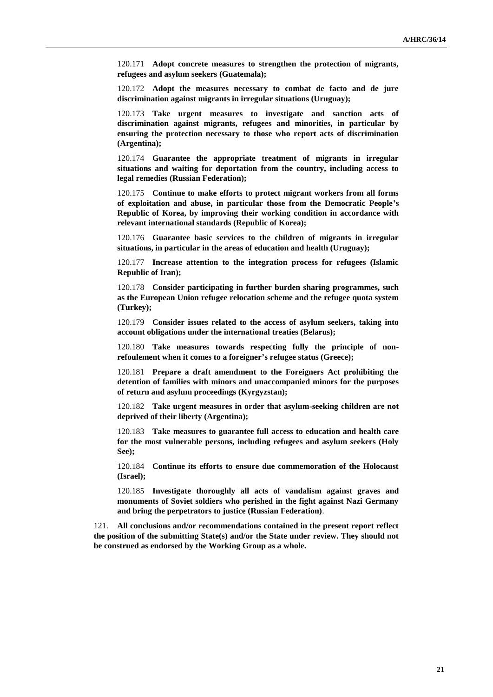120.171 **Adopt concrete measures to strengthen the protection of migrants, refugees and asylum seekers (Guatemala);**

120.172 **Adopt the measures necessary to combat de facto and de jure discrimination against migrants in irregular situations (Uruguay);**

120.173 **Take urgent measures to investigate and sanction acts of discrimination against migrants, refugees and minorities, in particular by ensuring the protection necessary to those who report acts of discrimination (Argentina);**

120.174 **Guarantee the appropriate treatment of migrants in irregular situations and waiting for deportation from the country, including access to legal remedies (Russian Federation);**

120.175 **Continue to make efforts to protect migrant workers from all forms of exploitation and abuse, in particular those from the Democratic People's Republic of Korea, by improving their working condition in accordance with relevant international standards (Republic of Korea);**

120.176 **Guarantee basic services to the children of migrants in irregular situations, in particular in the areas of education and health (Uruguay);**

120.177 **Increase attention to the integration process for refugees (Islamic Republic of Iran);**

120.178 **Consider participating in further burden sharing programmes, such as the European Union refugee relocation scheme and the refugee quota system (Turkey);**

120.179 **Consider issues related to the access of asylum seekers, taking into account obligations under the international treaties (Belarus);**

120.180 **Take measures towards respecting fully the principle of nonrefoulement when it comes to a foreigner's refugee status (Greece);**

120.181 **Prepare a draft amendment to the Foreigners Act prohibiting the detention of families with minors and unaccompanied minors for the purposes of return and asylum proceedings (Kyrgyzstan);**

120.182 **Take urgent measures in order that asylum-seeking children are not deprived of their liberty (Argentina);**

120.183 **Take measures to guarantee full access to education and health care for the most vulnerable persons, including refugees and asylum seekers (Holy See);**

120.184 **Continue its efforts to ensure due commemoration of the Holocaust (Israel);**

120.185 **Investigate thoroughly all acts of vandalism against graves and monuments of Soviet soldiers who perished in the fight against Nazi Germany and bring the perpetrators to justice (Russian Federation)**.

121. **All conclusions and/or recommendations contained in the present report reflect the position of the submitting State(s) and/or the State under review. They should not be construed as endorsed by the Working Group as a whole.**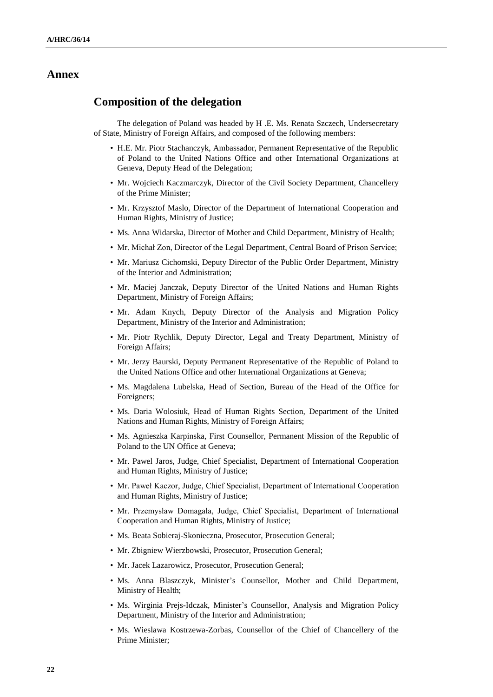#### **Annex**

#### **Composition of the delegation**

The delegation of Poland was headed by H .E. Ms. Renata Szczech, Undersecretary of State, Ministry of Foreign Affairs, and composed of the following members:

- H.E. Mr. Piotr Stachanczyk, Ambassador, Permanent Representative of the Republic of Poland to the United Nations Office and other International Organizations at Geneva, Deputy Head of the Delegation;
- Mr. Wojciech Kaczmarczyk, Director of the Civil Society Department, Chancellery of the Prime Minister;
- Mr. Krzysztof Maslo, Director of the Department of International Cooperation and Human Rights, Ministry of Justice;
- Ms. Anna Widarska, Director of Mother and Child Department, Ministry of Health;
- Mr. Michał Zon, Director of the Legal Department, Central Board of Prison Service;
- Mr. Mariusz Cichomski, Deputy Director of the Public Order Department, Ministry of the Interior and Administration;
- Mr. Maciej Janczak, Deputy Director of the United Nations and Human Rights Department, Ministry of Foreign Affairs;
- Mr. Adam Knych, Deputy Director of the Analysis and Migration Policy Department, Ministry of the Interior and Administration;
- Mr. Piotr Rychlik, Deputy Director, Legal and Treaty Department, Ministry of Foreign Affairs;
- Mr. Jerzy Baurski, Deputy Permanent Representative of the Republic of Poland to the United Nations Office and other International Organizations at Geneva;
- Ms. Magdalena Lubelska, Head of Section, Bureau of the Head of the Office for Foreigners;
- Ms. Daria Wolosiuk, Head of Human Rights Section, Department of the United Nations and Human Rights, Ministry of Foreign Affairs;
- Ms. Agnieszka Karpinska, First Counsellor, Permanent Mission of the Republic of Poland to the UN Office at Geneva;
- Mr. Pawel Jaros, Judge, Chief Specialist, Department of International Cooperation and Human Rights, Ministry of Justice;
- Mr. Paweł Kaczor, Judge, Chief Specialist, Department of International Cooperation and Human Rights, Ministry of Justice;
- Mr. Przemysław Domagala, Judge, Chief Specialist, Department of International Cooperation and Human Rights, Ministry of Justice;
- Ms. Beata Sobieraj-Skonieczna, Prosecutor, Prosecution General;
- Mr. Zbigniew Wierzbowski, Prosecutor, Prosecution General;
- Mr. Jacek Lazarowicz, Prosecutor, Prosecution General;
- Ms. Anna Blaszczyk, Minister's Counsellor, Mother and Child Department, Ministry of Health;
- Ms. Wirginia Prejs-Idczak, Minister's Counsellor, Analysis and Migration Policy Department, Ministry of the Interior and Administration;
- Ms. Wieslawa Kostrzewa-Zorbas, Counsellor of the Chief of Chancellery of the Prime Minister;